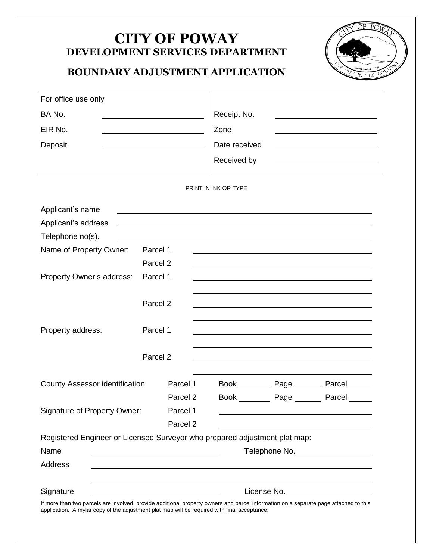## **CITY OF POWAY DEVELOPMENT SERVICES DEPARTMENT BOUNDARY ADJUSTMENT APPLICATION** THE For office use only BA No. Receipt No. EIR No. 2008 2008 Deposit Deposit Received by PRINT IN INK OR TYPE Applicant's name Applicant's address Telephone no(s). Name of Property Owner: Parcel 1 Parcel 2 Property Owner's address: Parcel 1 Parcel 2 Property address: Parcel 1 Parcel 2 County Assessor identification: Parcel 1 Book Page Page Parcel Parcel 2 Book Page Page Parcel Signature of Property Owner: Parcel 1 Parcel 2 Registered Engineer or Licensed Surveyor who prepared adjustment plat map:

| Telephone No. |
|---------------|
|               |
|               |
| License No.   |
|               |

If more than two parcels are involved, provide additional property owners and parcel information on a separate page attached to this application. A mylar copy of the adjustment plat map will be required with final acceptance.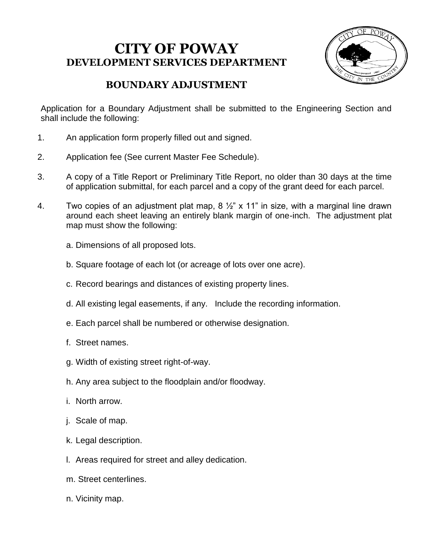## **CITY OF POWAY DEVELOPMENT SERVICES DEPARTMENT**



## **BOUNDARY ADJUSTMENT**

Application for a Boundary Adjustment shall be submitted to the Engineering Section and shall include the following:

- 1. An application form properly filled out and signed.
- 2. Application fee (See current Master Fee Schedule).
- 3. A copy of a Title Report or Preliminary Title Report, no older than 30 days at the time of application submittal, for each parcel and a copy of the grant deed for each parcel.
- 4. Two copies of an adjustment plat map,  $8\frac{1}{2}$  x 11" in size, with a marginal line drawn around each sheet leaving an entirely blank margin of one-inch. The adjustment plat map must show the following:
	- a. Dimensions of all proposed lots.
	- b. Square footage of each lot (or acreage of lots over one acre).
	- c. Record bearings and distances of existing property lines.
	- d. All existing legal easements, if any. Include the recording information.
	- e. Each parcel shall be numbered or otherwise designation.
	- f. Street names.
	- g. Width of existing street right-of-way.
	- h. Any area subject to the floodplain and/or floodway.
	- i. North arrow.
	- j. Scale of map.
	- k. Legal description.
	- l. Areas required for street and alley dedication.
	- m. Street centerlines.
	- n. Vicinity map.